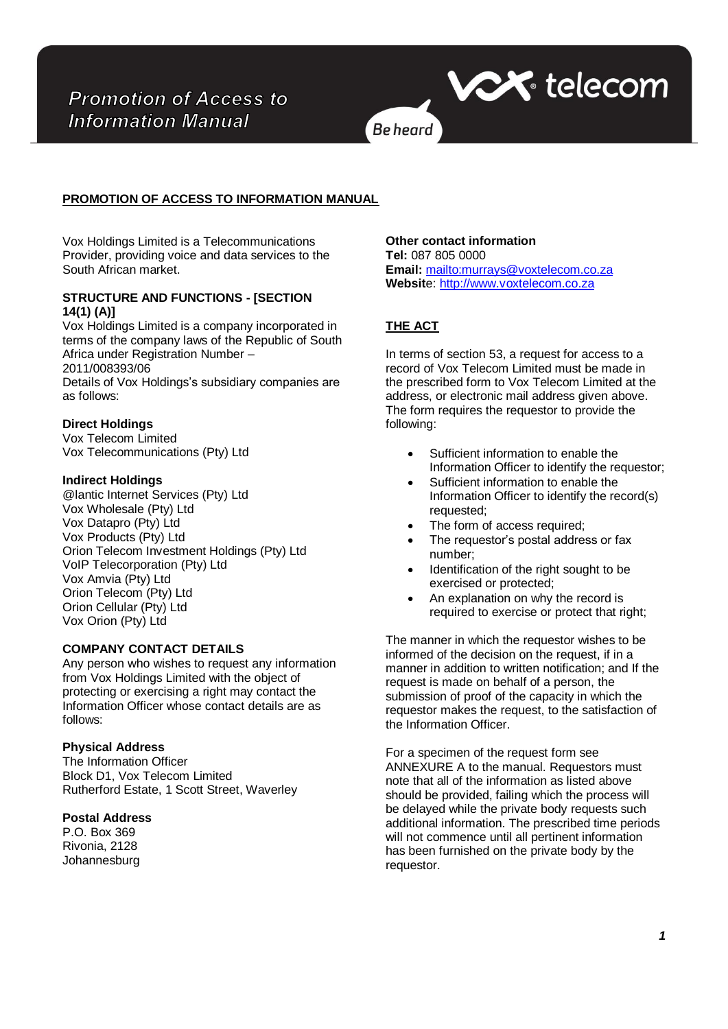

# **PROMOTION OF ACCESS TO INFORMATION MANUAL**

Vox Holdings Limited is a Telecommunications Provider, providing voice and data services to the South African market.

### **STRUCTURE AND FUNCTIONS - [SECTION 14(1) (A)]**

Vox Holdings Limited is a company incorporated in terms of the company laws of the Republic of South Africa under Registration Number – 2011/008393/06

Details of Vox Holdings's subsidiary companies are as follows:

## **Direct Holdings**

Vox Telecom Limited Vox Telecommunications (Pty) Ltd

### **Indirect Holdings**

@lantic Internet Services (Pty) Ltd Vox Wholesale (Pty) Ltd Vox Datapro (Pty) Ltd Vox Products (Pty) Ltd Orion Telecom Investment Holdings (Pty) Ltd VoIP Telecorporation (Pty) Ltd Vox Amvia (Pty) Ltd Orion Telecom (Pty) Ltd Orion Cellular (Pty) Ltd Vox Orion (Pty) Ltd

## **COMPANY CONTACT DETAILS**

Any person who wishes to request any information from Vox Holdings Limited with the object of protecting or exercising a right may contact the Information Officer whose contact details are as follows:

#### **Physical Address**

The Information Officer Block D1, Vox Telecom Limited Rutherford Estate, 1 Scott Street, Waverley

### **Postal Address**

P.O. Box 369 Rivonia, 2128 Johannesburg **Other contact information Tel:** 087 805 0000 **Email:** <mailto:murrays@voxtelecom.co.za> **Websit**e: [http://www.voxtelecom.co.za](http://www.voxtelecom.co.za/)

# **THE ACT**

In terms of section 53, a request for access to a record of Vox Telecom Limited must be made in the prescribed form to Vox Telecom Limited at the address, or electronic mail address given above. The form requires the requestor to provide the following:

- Sufficient information to enable the Information Officer to identify the requestor;
- Sufficient information to enable the Information Officer to identify the record(s) requested;
- The form of access required;
- The requestor's postal address or fax number;
- Identification of the right sought to be exercised or protected;
- An explanation on why the record is required to exercise or protect that right;

The manner in which the requestor wishes to be informed of the decision on the request, if in a manner in addition to written notification; and If the request is made on behalf of a person, the submission of proof of the capacity in which the requestor makes the request, to the satisfaction of the Information Officer.

For a specimen of the request form see ANNEXURE A to the manual. Requestors must note that all of the information as listed above should be provided, failing which the process will be delayed while the private body requests such additional information. The prescribed time periods will not commence until all pertinent information has been furnished on the private body by the requestor.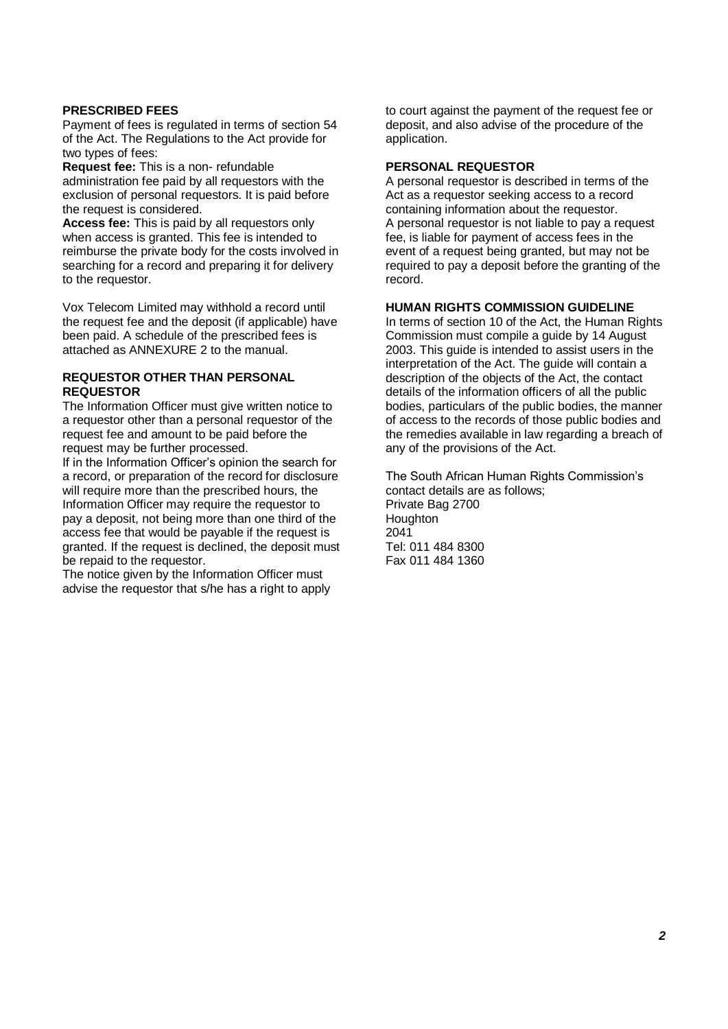## **PRESCRIBED FEES**

Payment of fees is regulated in terms of section 54 of the Act. The Regulations to the Act provide for two types of fees:

**Request fee:** This is a non- refundable administration fee paid by all requestors with the exclusion of personal requestors. It is paid before the request is considered.

**Access fee:** This is paid by all requestors only when access is granted. This fee is intended to reimburse the private body for the costs involved in searching for a record and preparing it for delivery to the requestor.

Vox Telecom Limited may withhold a record until the request fee and the deposit (if applicable) have been paid. A schedule of the prescribed fees is attached as ANNEXURE 2 to the manual.

#### **REQUESTOR OTHER THAN PERSONAL REQUESTOR**

The Information Officer must give written notice to a requestor other than a personal requestor of the request fee and amount to be paid before the request may be further processed.

If in the Information Officer's opinion the search for a record, or preparation of the record for disclosure will require more than the prescribed hours, the Information Officer may require the requestor to pay a deposit, not being more than one third of the access fee that would be payable if the request is granted. If the request is declined, the deposit must be repaid to the requestor.

The notice given by the Information Officer must advise the requestor that s/he has a right to apply to court against the payment of the request fee or deposit, and also advise of the procedure of the application.

#### **PERSONAL REQUESTOR**

A personal requestor is described in terms of the Act as a requestor seeking access to a record containing information about the requestor. A personal requestor is not liable to pay a request fee, is liable for payment of access fees in the event of a request being granted, but may not be required to pay a deposit before the granting of the record.

# **HUMAN RIGHTS COMMISSION GUIDELINE**

In terms of section 10 of the Act, the Human Rights Commission must compile a guide by 14 August 2003. This guide is intended to assist users in the interpretation of the Act. The guide will contain a description of the objects of the Act, the contact details of the information officers of all the public bodies, particulars of the public bodies, the manner of access to the records of those public bodies and the remedies available in law regarding a breach of any of the provisions of the Act.

The South African Human Rights Commission's contact details are as follows; Private Bag 2700 **Houghton** 2041 Tel: 011 484 8300 Fax 011 484 1360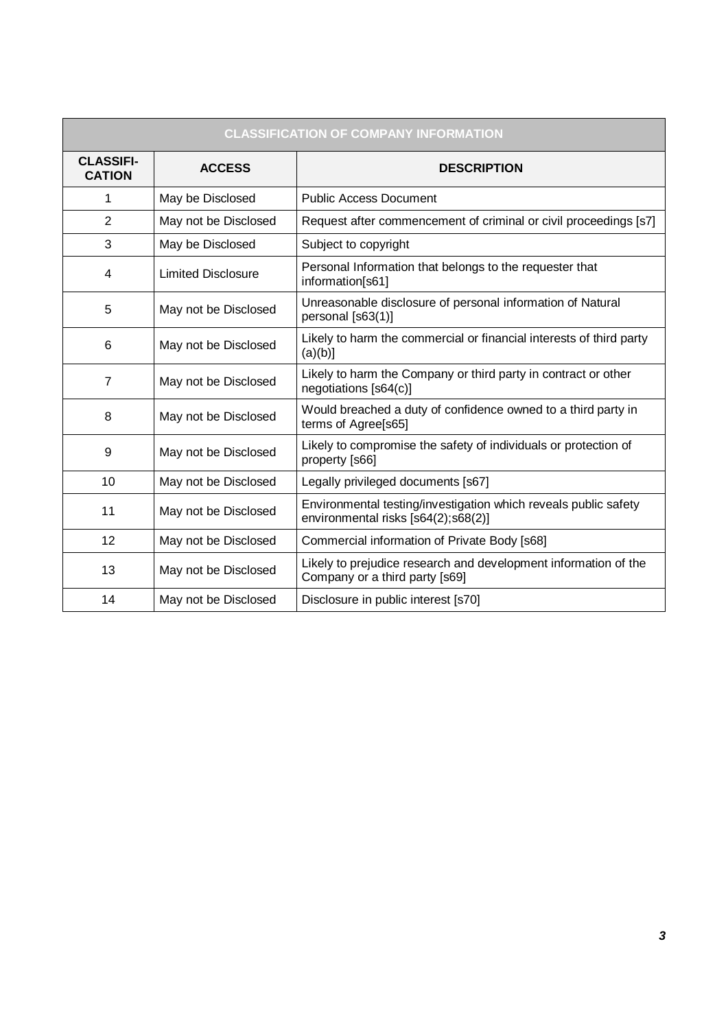| <b>CLASSIFICATION OF COMPANY INFORMATION</b> |                           |                                                                                                        |  |  |
|----------------------------------------------|---------------------------|--------------------------------------------------------------------------------------------------------|--|--|
| <b>CLASSIFI-</b><br><b>CATION</b>            | <b>ACCESS</b>             | <b>DESCRIPTION</b>                                                                                     |  |  |
| 1                                            | May be Disclosed          | <b>Public Access Document</b>                                                                          |  |  |
| $\overline{2}$                               | May not be Disclosed      | Request after commencement of criminal or civil proceedings [s7]                                       |  |  |
| 3                                            | May be Disclosed          | Subject to copyright                                                                                   |  |  |
| 4                                            | <b>Limited Disclosure</b> | Personal Information that belongs to the requester that<br>information[s61]                            |  |  |
| 5                                            | May not be Disclosed      | Unreasonable disclosure of personal information of Natural<br>personal [s63(1)]                        |  |  |
| 6                                            | May not be Disclosed      | Likely to harm the commercial or financial interests of third party<br>$(a)(b)$ ]                      |  |  |
| $\overline{7}$                               | May not be Disclosed      | Likely to harm the Company or third party in contract or other<br>negotiations [s64(c)]                |  |  |
| 8                                            | May not be Disclosed      | Would breached a duty of confidence owned to a third party in<br>terms of Agree[s65]                   |  |  |
| 9                                            | May not be Disclosed      | Likely to compromise the safety of individuals or protection of<br>property [s66]                      |  |  |
| 10                                           | May not be Disclosed      | Legally privileged documents [s67]                                                                     |  |  |
| 11                                           | May not be Disclosed      | Environmental testing/investigation which reveals public safety<br>environmental risks [s64(2);s68(2)] |  |  |
| 12                                           | May not be Disclosed      | Commercial information of Private Body [s68]                                                           |  |  |
| 13                                           | May not be Disclosed      | Likely to prejudice research and development information of the<br>Company or a third party [s69]      |  |  |
| 14                                           | May not be Disclosed      | Disclosure in public interest [s70]                                                                    |  |  |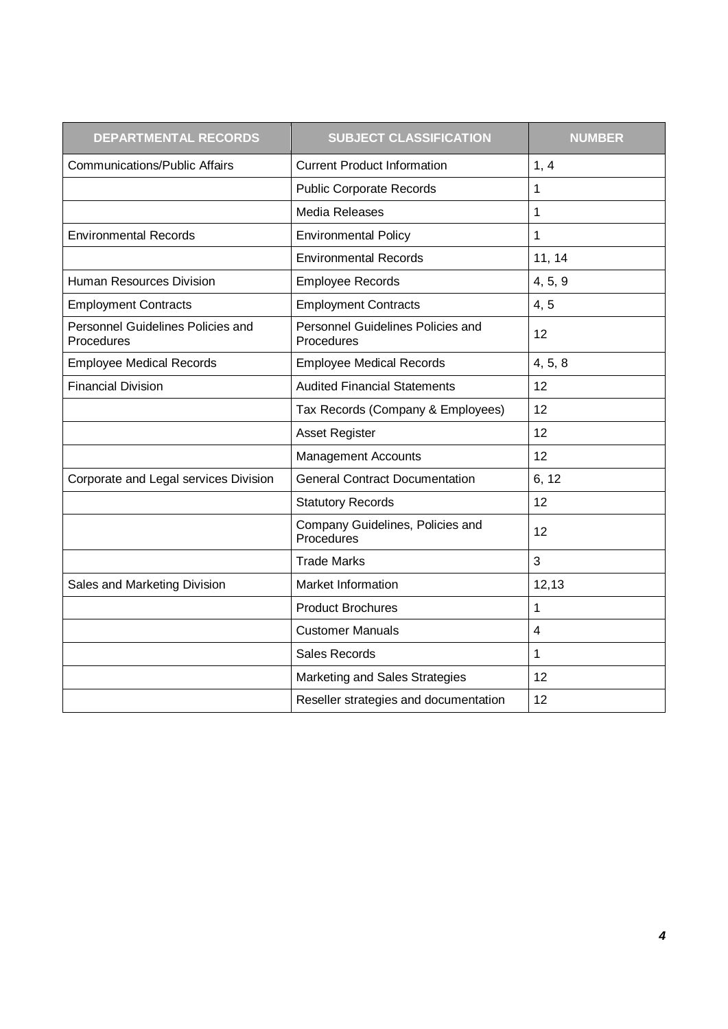| <b>DEPARTMENTAL RECORDS</b>                     | <b>SUBJECT CLASSIFICATION</b>                   | <b>NUMBER</b>           |
|-------------------------------------------------|-------------------------------------------------|-------------------------|
| <b>Communications/Public Affairs</b>            | <b>Current Product Information</b>              | 1, 4                    |
|                                                 | <b>Public Corporate Records</b>                 | 1                       |
|                                                 | Media Releases                                  | 1                       |
| <b>Environmental Records</b>                    | <b>Environmental Policy</b>                     | 1                       |
|                                                 | <b>Environmental Records</b>                    | 11, 14                  |
| Human Resources Division                        | <b>Employee Records</b>                         | 4, 5, 9                 |
| <b>Employment Contracts</b>                     | <b>Employment Contracts</b>                     | 4, 5                    |
| Personnel Guidelines Policies and<br>Procedures | Personnel Guidelines Policies and<br>Procedures | 12                      |
| <b>Employee Medical Records</b>                 | <b>Employee Medical Records</b>                 | 4, 5, 8                 |
| <b>Financial Division</b>                       | <b>Audited Financial Statements</b>             | 12                      |
|                                                 | Tax Records (Company & Employees)               | 12                      |
|                                                 | <b>Asset Register</b>                           | 12                      |
|                                                 | <b>Management Accounts</b>                      | 12                      |
| Corporate and Legal services Division           | <b>General Contract Documentation</b>           | 6, 12                   |
|                                                 | <b>Statutory Records</b>                        | 12                      |
|                                                 | Company Guidelines, Policies and<br>Procedures  | 12                      |
|                                                 | <b>Trade Marks</b>                              | 3                       |
| Sales and Marketing Division                    | Market Information                              | 12,13                   |
|                                                 | <b>Product Brochures</b>                        | 1                       |
|                                                 | <b>Customer Manuals</b>                         | $\overline{\mathbf{4}}$ |
|                                                 | <b>Sales Records</b>                            | 1                       |
|                                                 | Marketing and Sales Strategies                  | 12                      |
|                                                 | Reseller strategies and documentation           | 12                      |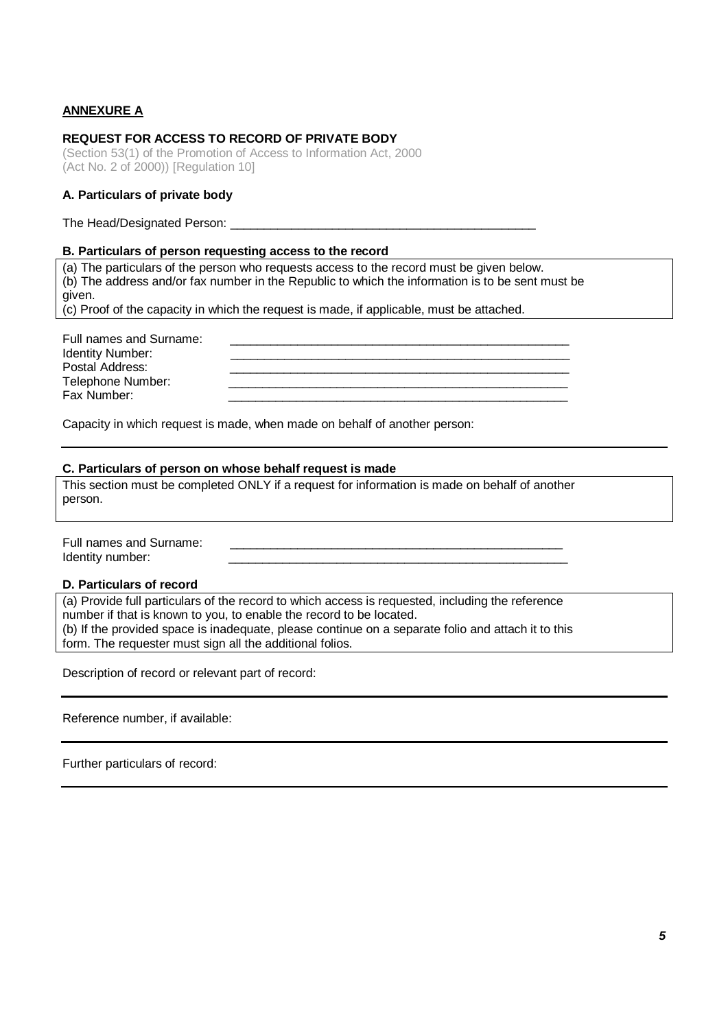# **ANNEXURE A**

Fax Number:

## **REQUEST FOR ACCESS TO RECORD OF PRIVATE BODY**

(Section 53(1) of the Promotion of Access to Information Act, 2000 (Act No. 2 of 2000)) [Regulation 10]

### **A. Particulars of private body**

The Head/Designated Person:

#### **B. Particulars of person requesting access to the record**

(a) The particulars of the person who requests access to the record must be given below. (b) The address and/or fax number in the Republic to which the information is to be sent must be given. (c) Proof of the capacity in which the request is made, if applicable, must be attached.

| Full names and Surname: |  |
|-------------------------|--|
| <b>Identity Number:</b> |  |
| Postal Address:         |  |
| Telephone Number        |  |

Capacity in which request is made, when made on behalf of another person:

#### **C. Particulars of person on whose behalf request is made**

This section must be completed ONLY if a request for information is made on behalf of another person.

| Full names and Surname: |  |
|-------------------------|--|
| Identity number:        |  |

#### **D. Particulars of record**

(a) Provide full particulars of the record to which access is requested, including the reference number if that is known to you, to enable the record to be located. (b) If the provided space is inadequate, please continue on a separate folio and attach it to this form. The requester must sign all the additional folios.

Description of record or relevant part of record:

Reference number, if available:

Further particulars of record: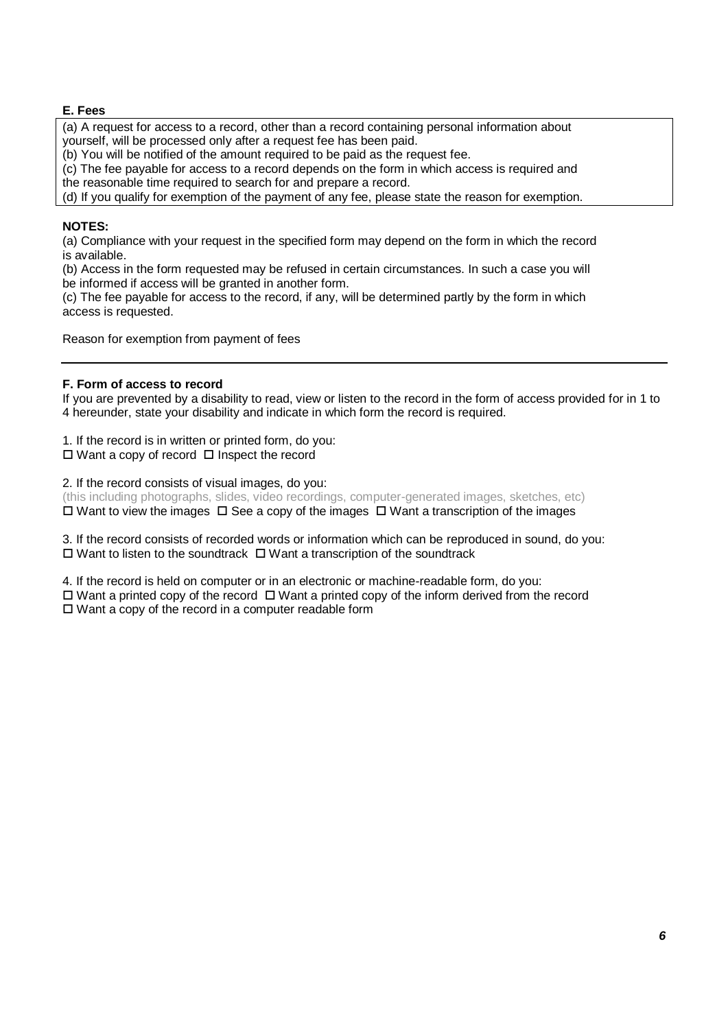# **E. Fees**

(a) A request for access to a record, other than a record containing personal information about yourself, will be processed only after a request fee has been paid.

(b) You will be notified of the amount required to be paid as the request fee.

(c) The fee payable for access to a record depends on the form in which access is required and

the reasonable time required to search for and prepare a record.

(d) If you qualify for exemption of the payment of any fee, please state the reason for exemption.

## **NOTES:**

(a) Compliance with your request in the specified form may depend on the form in which the record is available.

(b) Access in the form requested may be refused in certain circumstances. In such a case you will be informed if access will be granted in another form.

(c) The fee payable for access to the record, if any, will be determined partly by the form in which access is requested.

Reason for exemption from payment of fees

## **F. Form of access to record**

If you are prevented by a disability to read, view or listen to the record in the form of access provided for in 1 to 4 hereunder, state your disability and indicate in which form the record is required.

1. If the record is in written or printed form, do you:  $\Box$  Want a copy of record  $\Box$  Inspect the record

2. If the record consists of visual images, do you:

(this including photographs, slides, video recordings, computer-generated images, sketches, etc)  $\Box$  Want to view the images  $\Box$  See a copy of the images  $\Box$  Want a transcription of the images

3. If the record consists of recorded words or information which can be reproduced in sound, do you:  $\Box$  Want to listen to the soundtrack  $\Box$  Want a transcription of the soundtrack

4. If the record is held on computer or in an electronic or machine-readable form, do you:  $\Box$  Want a printed copy of the record  $\Box$  Want a printed copy of the inform derived from the record  $\square$  Want a copy of the record in a computer readable form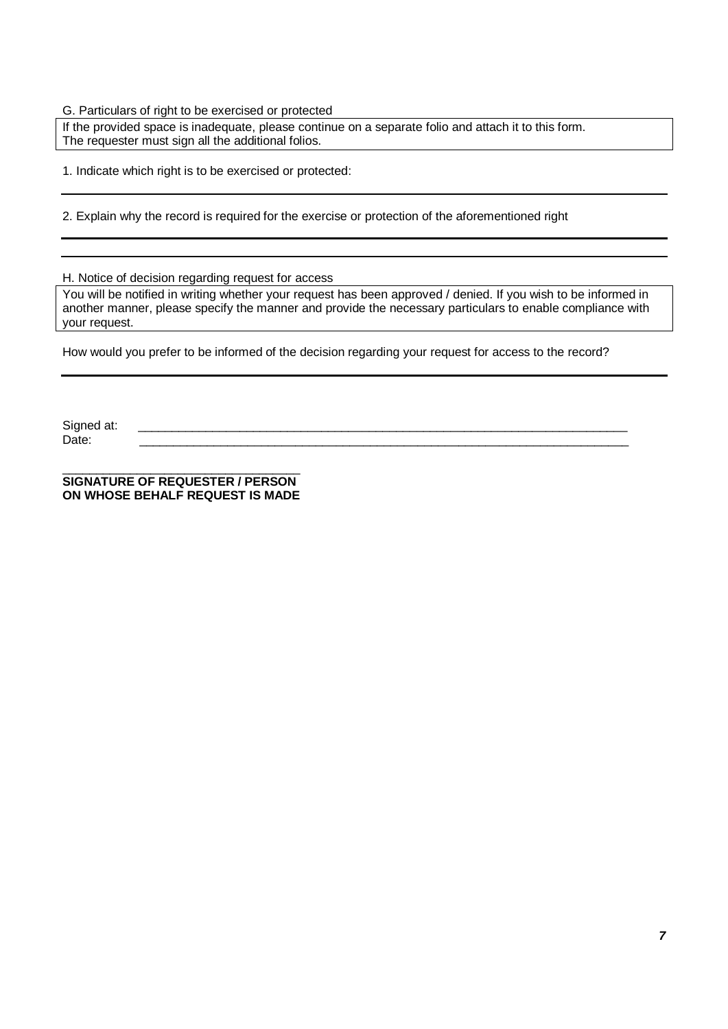G. Particulars of right to be exercised or protected

If the provided space is inadequate, please continue on a separate folio and attach it to this form. The requester must sign all the additional folios.

1. Indicate which right is to be exercised or protected:

2. Explain why the record is required for the exercise or protection of the aforementioned right

H. Notice of decision regarding request for access

You will be notified in writing whether your request has been approved / denied. If you wish to be informed in another manner, please specify the manner and provide the necessary particulars to enable compliance with your request.

How would you prefer to be informed of the decision regarding your request for access to the record?

Signed at: \_\_\_\_\_\_\_\_\_\_\_\_\_\_\_\_\_\_\_\_\_\_\_\_\_\_\_\_\_\_\_\_\_\_\_\_\_\_\_\_\_\_\_\_\_\_\_\_\_\_\_\_\_\_\_\_\_\_\_\_\_\_\_\_\_\_\_\_\_\_\_\_ Date: \_\_\_\_\_\_\_\_\_\_\_\_\_\_\_\_\_\_\_\_\_\_\_\_\_\_\_\_\_\_\_\_\_\_\_\_\_\_\_\_\_\_\_\_\_\_\_\_\_\_\_\_\_\_\_\_\_\_\_\_\_\_\_\_\_\_\_\_\_\_\_\_

\_\_\_\_\_\_\_\_\_\_\_\_\_\_\_\_\_\_\_\_\_\_\_\_\_\_\_\_\_\_\_\_\_\_\_ **SIGNATURE OF REQUESTER / PERSON ON WHOSE BEHALF REQUEST IS MADE**